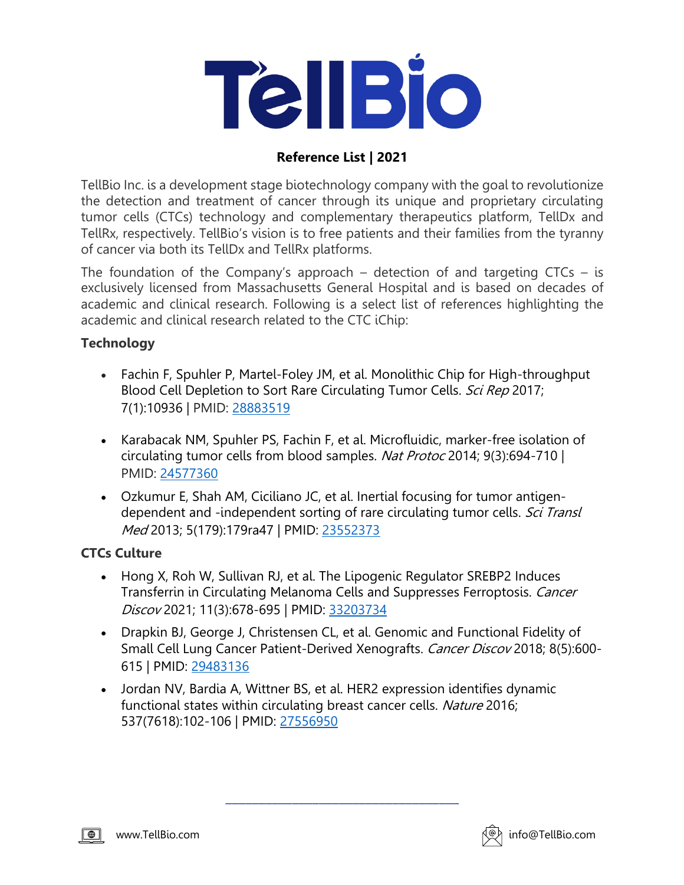

# **Reference List | 2021**

TellBio Inc. is a development stage biotechnology company with the goal to revolutionize the detection and treatment of cancer through its unique and proprietary circulating tumor cells (CTCs) technology and complementary therapeutics platform, TellDx and TellRx, respectively. TellBio's vision is to free patients and their families from the tyranny of cancer via both its TellDx and TellRx platforms.

The foundation of the Company's approach – detection of and targeting  $CTCs - is$ exclusively licensed from Massachusetts General Hospital and is based on decades of academic and clinical research. Following is a select list of references highlighting the academic and clinical research related to the CTC iChip:

#### **Technology**

- Fachin F, Spuhler P, Martel-Foley JM, et al. Monolithic Chip for High-throughput Blood Cell Depletion to Sort Rare Circulating Tumor Cells. Sci Rep 2017; 7(1):10936 | PMID: 28883519
- Karabacak NM, Spuhler PS, Fachin F, et al. Microfluidic, marker-free isolation of circulating tumor cells from blood samples. Nat Protoc 2014; 9(3):694-710 | PMID: 24577360
- Ozkumur E, Shah AM, Ciciliano JC, et al. Inertial focusing for tumor antigendependent and -independent sorting of rare circulating tumor cells. Sci Transl Med 2013; 5(179):179ra47 | PMID: 23552373

### **CTCs Culture**

- Hong X, Roh W, Sullivan RJ, et al. The Lipogenic Regulator SREBP2 Induces Transferrin in Circulating Melanoma Cells and Suppresses Ferroptosis. Cancer Discov 2021; 11(3):678-695 | PMID: 33203734
- Drapkin BJ, George J, Christensen CL, et al. Genomic and Functional Fidelity of Small Cell Lung Cancer Patient-Derived Xenografts. Cancer Discov 2018; 8(5):600-615 | PMID: 29483136
- Jordan NV, Bardia A, Wittner BS, et al. HER2 expression identifies dynamic functional states within circulating breast cancer cells. Nature 2016; 537(7618):102-106 | PMID: 27556950

\_\_\_\_\_\_\_\_\_\_\_\_\_\_\_\_\_\_\_\_\_\_\_\_\_\_\_\_\_\_\_\_\_\_\_